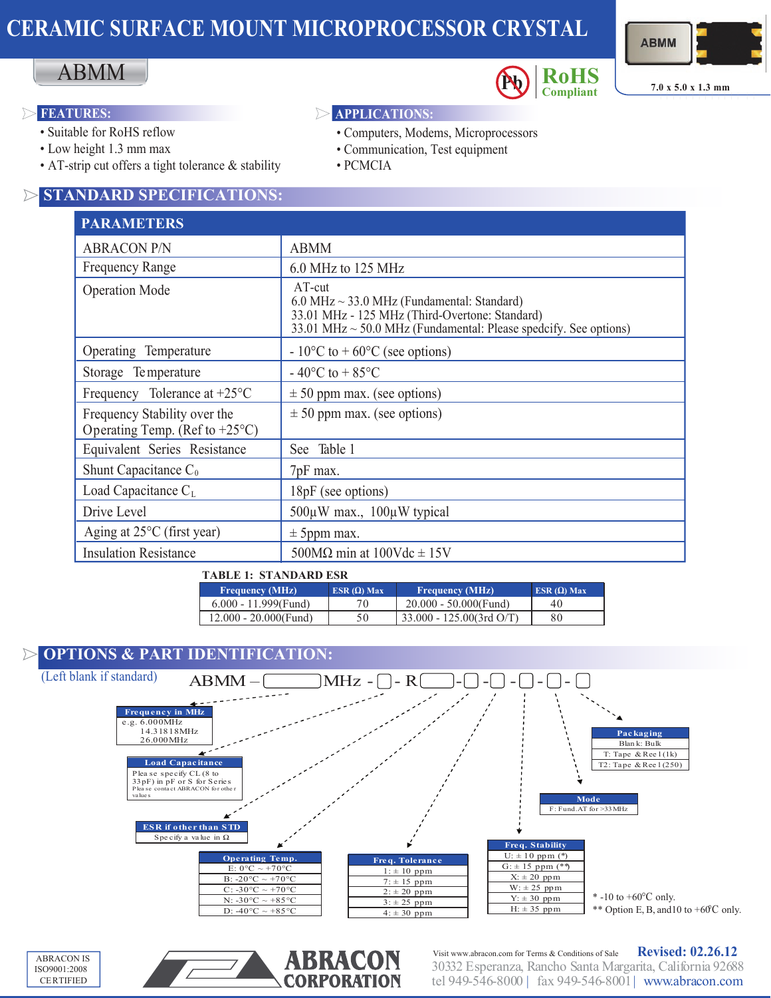# **CERAMIC SURFACE MOUNT MICROPROCESSOR CRYSTAL**





**7.0 <sup>x</sup> 5.0 <sup>x</sup> 1.3 mm Compliant**

### **FEATURES:**  $\triangleright$  **APPLICATIONS:**  $\triangleright$

ABMM

- Suitable for RoHS reflow
- Low height 1.3 mm max
- AT-strip cut offers a tight tolerance & stability

## **STANDARD SPECIFICATIONS:**

## **PARAMETERS**

| <u>I AINAWID I DINO</u>                                                  |                                                                                                                                                                                                         |  |
|--------------------------------------------------------------------------|---------------------------------------------------------------------------------------------------------------------------------------------------------------------------------------------------------|--|
| <b>ABRACON P/N</b>                                                       | <b>ABMM</b>                                                                                                                                                                                             |  |
| <b>Frequency Range</b>                                                   | 6.0 MHz to 125 MHz                                                                                                                                                                                      |  |
| <b>Operation Mode</b>                                                    | $AT$ -cut<br>$6.0 \text{ MHz} \sim 33.0 \text{ MHz}$ (Fundamental: Standard)<br>33.01 MHz - 125 MHz (Third-Overtone: Standard)<br>33.01 MHz $\sim$ 50.0 MHz (Fundamental: Please spedcify. See options) |  |
| Operating Temperature                                                    | $-10^{\circ}$ C to +60°C (see options)                                                                                                                                                                  |  |
| Storage Temperature                                                      | $-40^{\circ}$ C to $+85^{\circ}$ C                                                                                                                                                                      |  |
| Frequency Tolerance at $+25^{\circ}$ C                                   | $\pm$ 50 ppm max. (see options)                                                                                                                                                                         |  |
| Frequency Stability over the<br>Operating Temp. (Ref to $+25^{\circ}$ C) | $\pm$ 50 ppm max. (see options)                                                                                                                                                                         |  |
| Equivalent Series Resistance                                             | See Table 1                                                                                                                                                                                             |  |
| Shunt Capacitance $C_0$                                                  | 7pF max.                                                                                                                                                                                                |  |
| Load Capacitance $C_{L}$                                                 | 18pF (see options)                                                                                                                                                                                      |  |
| Drive Level                                                              | $500\mu$ W max., $100\mu$ W typical                                                                                                                                                                     |  |
| Aging at $25^{\circ}$ C (first year)                                     | $\pm$ 5ppm max.                                                                                                                                                                                         |  |
| <b>Insulation Resistance</b>                                             | 500M $\Omega$ min at 100Vdc $\pm$ 15V                                                                                                                                                                   |  |

• PCMCIA

• Computers, Modems, Microprocessors • Communication, Test equipment

### **TABLE 1: STANDARD ESR**

| <b>Frequency (MHz)</b>   | $ESR(\Omega)$ Max | <b>Frequency (MHz)</b>                 | ESR $(\Omega)$ Max |
|--------------------------|-------------------|----------------------------------------|--------------------|
| $6.000 - 11.999$ (Fund)  | 70                | $20.000 - 50.000$ (Fund)               | 40                 |
| $12.000 - 20.000$ (Fund) | 50                | $\frac{1}{2}$ 33.000 - 125.00(3rd O/T) | 80                 |

### **OPTIONS & PART IDENTIFICATION:**  $\triangleright$







30332 Esperanza, Rancho Santa Margarita, California 92688 tel 949-546-8000 | fax 949-546-8001| www.abracon.com Visit www.abracon.com for Terms & Conditions of Sale **Revised: 02.26.12**